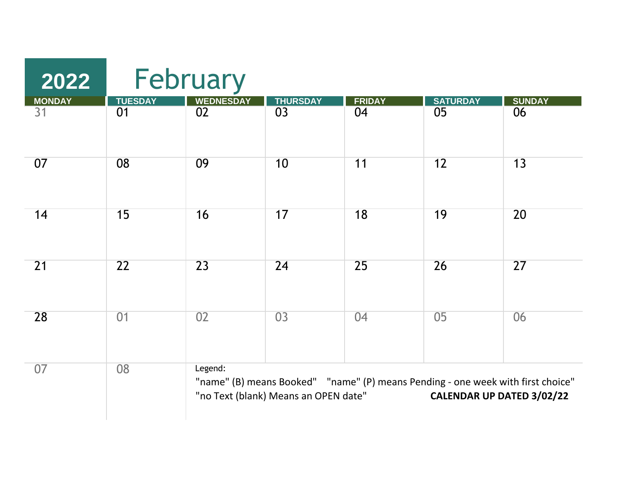| 2022          | February       |                  |                                      |                                                                                 |                           |               |  |  |
|---------------|----------------|------------------|--------------------------------------|---------------------------------------------------------------------------------|---------------------------|---------------|--|--|
| <b>MONDAY</b> | <b>TUESDAY</b> | <b>WEDNESDAY</b> | <b>THURSDAY</b>                      | <b>FRIDAY</b>                                                                   | <b>SATURDAY</b>           | <b>SUNDAY</b> |  |  |
| 31            | 01             | 02               | 03                                   | 04                                                                              | 05                        | 06            |  |  |
| 07            | 08             | 09               | 10                                   | 11                                                                              | 12                        | 13            |  |  |
| 14            | 15             | 16               | 17                                   | 18                                                                              | 19                        | 20            |  |  |
| 21            | 22             | 23               | 24                                   | 25                                                                              | 26                        | 27            |  |  |
| 28            | 01             | 02               | 03                                   | 04                                                                              | 0 <sub>5</sub>            | 06            |  |  |
| 07            | 08             | Legend:          | "no Text (blank) Means an OPEN date" | "name" (B) means Booked" "name" (P) means Pending - one week with first choice" | CALENDAR UP DATED 3/02/22 |               |  |  |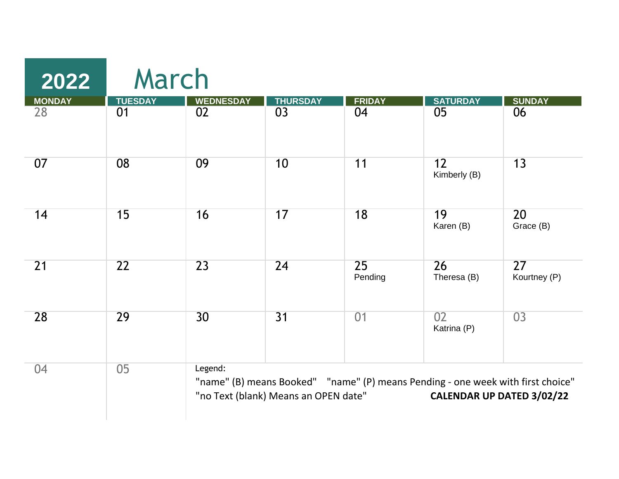| 2022          | March          |                  |                                      |               |                                                                                 |                                 |
|---------------|----------------|------------------|--------------------------------------|---------------|---------------------------------------------------------------------------------|---------------------------------|
| <b>MONDAY</b> | <b>TUESDAY</b> | <b>WEDNESDAY</b> | <b>THURSDAY</b>                      | <b>FRIDAY</b> | <b>SATURDAY</b>                                                                 | <b>SUNDAY</b>                   |
| 28            | 01             | 02               | 03                                   | 04            | 05                                                                              | 06                              |
| 07            | 08             | 09               | 10                                   | 11            | 12<br>Kimberly (B)                                                              | 13                              |
| 14            | 15             | 16               | 17                                   | 18            | 19<br>Karen (B)                                                                 | 20<br>Grace (B)                 |
| 21            | 22             | 23               | 24                                   | 25<br>Pending | $\overline{26}$<br>Theresa (B)                                                  | $\overline{27}$<br>Kourtney (P) |
| 28            | 29             | 30               | 31                                   | 01            | 02<br>Katrina (P)                                                               | 03                              |
| 04            | 05             | Legend:          | "no Text (blank) Means an OPEN date" |               | "name" (B) means Booked" "name" (P) means Pending - one week with first choice" | CALENDAR UP DATED 3/02/22       |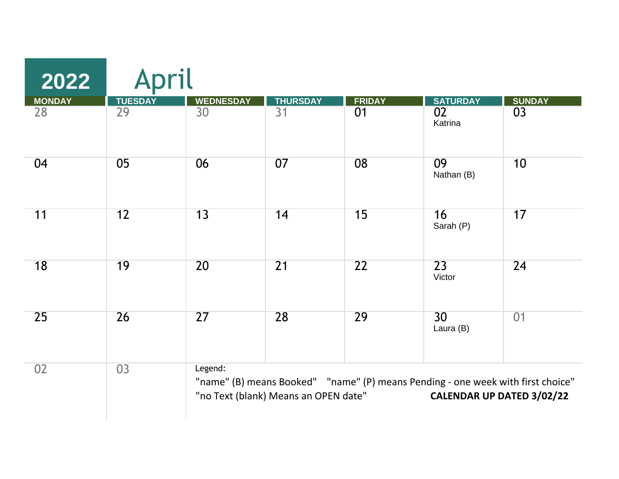| 2022          | pril           |                  |                                      |               |                                                                                 |                           |
|---------------|----------------|------------------|--------------------------------------|---------------|---------------------------------------------------------------------------------|---------------------------|
| <b>MONDAY</b> | <b>TUESDAY</b> | <b>WEDNESDAY</b> | <b>THURSDAY</b>                      | <b>FRIDAY</b> | <b>SATURDAY</b>                                                                 | <b>SUNDAY</b>             |
| 28            | 29             | 30               | 31                                   | 01            | 02<br>Katrina                                                                   | 03                        |
| 04            | 05             | 06               | 07                                   | 08            | 09<br>Nathan (B)                                                                | 10                        |
| 11            | 12             | 13               | 14                                   | 15            | 16<br>Sarah (P)                                                                 | 17                        |
| 18            | 19             | 20               | 21                                   | 22            | $\overline{23}$<br>Victor                                                       | 24                        |
| 25            | 26             | $\overline{27}$  | 28                                   | 29            | 30 <sup>2</sup><br>Laura (B)                                                    | 01                        |
| 02            | 03             | Legend:          | "no Text (blank) Means an OPEN date" |               | "name" (B) means Booked" "name" (P) means Pending - one week with first choice" | CALENDAR UP DATED 3/02/22 |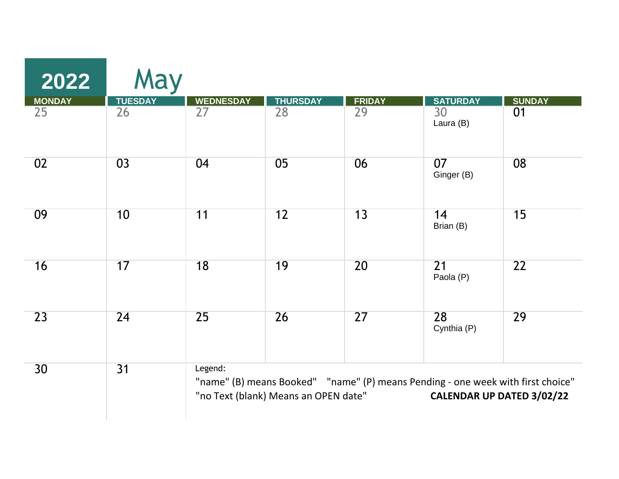| 2022            | May            |                  |                                      |                 |                                                                                 |                           |
|-----------------|----------------|------------------|--------------------------------------|-----------------|---------------------------------------------------------------------------------|---------------------------|
| <b>MONDAY</b>   | <b>TUESDAY</b> | <b>WEDNESDAY</b> | <b>THURSDAY</b>                      | <b>FRIDAY</b>   | <b>SATURDAY</b>                                                                 | <b>SUNDAY</b>             |
| 25              | 26             | 27               | $\overline{28}$                      | $\overline{29}$ | 30<br>Laura (B)                                                                 | 01                        |
| 02              | 03             | 04               | 05                                   | 06              | 07<br>Ginger (B)                                                                | 08                        |
| 09              | 10             | 11               | 12                                   | 13              | 14<br>Brian (B)                                                                 | 15                        |
| 16              | 17             | 18               | 19                                   | 20              | $\overline{21}$<br>Paola (P)                                                    | 22                        |
| $\overline{23}$ | 24             | 25               | 26                                   | $\overline{27}$ | 28<br>Cynthia (P)                                                               | 29                        |
| 30 <sup>°</sup> | 31             | Legend:          | "no Text (blank) Means an OPEN date" |                 | "name" (B) means Booked" "name" (P) means Pending - one week with first choice" | CALENDAR UP DATED 3/02/22 |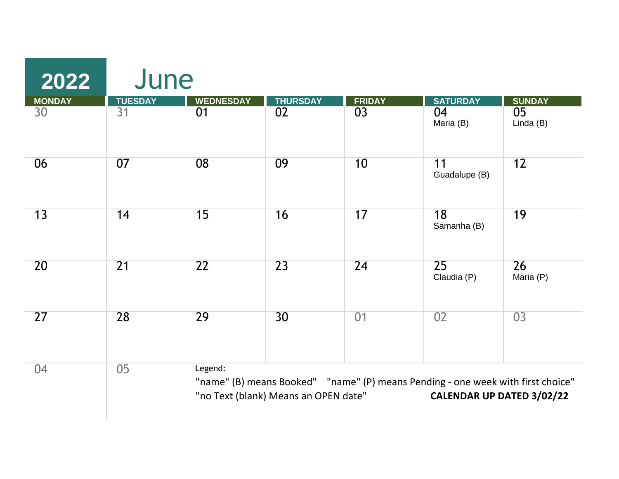| 2022                | June                 |                        |                                      |                     |                                                                                                              |                              |
|---------------------|----------------------|------------------------|--------------------------------------|---------------------|--------------------------------------------------------------------------------------------------------------|------------------------------|
| <b>MONDAY</b><br>30 | <b>TUESDAY</b><br>31 | <b>WEDNESDAY</b><br>01 | <b>THURSDAY</b><br>02                | <b>FRIDAY</b><br>03 | <b>SATURDAY</b><br>04                                                                                        | <b>SUNDAY</b><br>05          |
|                     |                      |                        |                                      |                     | Maria (B)                                                                                                    | Linda (B)                    |
| 06                  | 07                   | 08                     | 09                                   | 10                  | 11<br>Guadalupe (B)                                                                                          | 12                           |
| 13                  | 14                   | 15                     | 16                                   | 17                  | 18<br>Samanha (B)                                                                                            | 19                           |
| 20                  | 21                   | $\overline{22}$        | 23                                   | 24                  | $\overline{25}$<br>Claudia (P)                                                                               | $\overline{26}$<br>Maria (P) |
| 27                  | 28                   | 29                     | 30                                   | 01                  | 02                                                                                                           | 03                           |
| 04                  | 05                   | Legend:                | "no Text (blank) Means an OPEN date" |                     | "name" (B) means Booked" "name" (P) means Pending - one week with first choice"<br>CALENDAR UP DATED 3/02/22 |                              |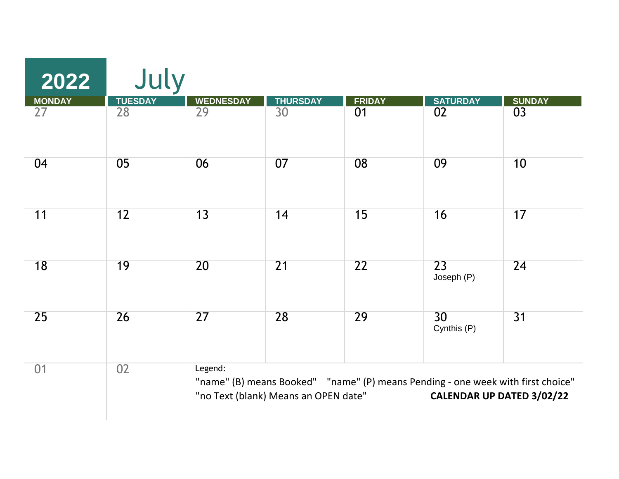| 2022          | July            |                  |                                      |                 |                                                                                 |                           |
|---------------|-----------------|------------------|--------------------------------------|-----------------|---------------------------------------------------------------------------------|---------------------------|
| <b>MONDAY</b> | <b>TUESDAY</b>  | <b>WEDNESDAY</b> | <b>THURSDAY</b>                      | <b>FRIDAY</b>   | <b>SATURDAY</b>                                                                 | <b>SUNDAY</b>             |
| 27            | $\overline{28}$ | $\overline{29}$  | $\overline{30}$                      | $\overline{01}$ | $\overline{02}$                                                                 | 03                        |
| 04            | 05              | 06               | 07                                   | 08              | 09                                                                              | 10                        |
| 11            | 12              | 13               | 14                                   | 15              | 16                                                                              | 17                        |
| 18            | 19              | 20               | $\overline{21}$                      | 22              | $\overline{23}$<br>Joseph (P)                                                   | 24                        |
| 25            | 26              | 27               | 28                                   | 29              | 30<br>Cynthis (P)                                                               | 31                        |
| 01            | 02              | Legend:          | "no Text (blank) Means an OPEN date" |                 | "name" (B) means Booked" "name" (P) means Pending - one week with first choice" | CALENDAR UP DATED 3/02/22 |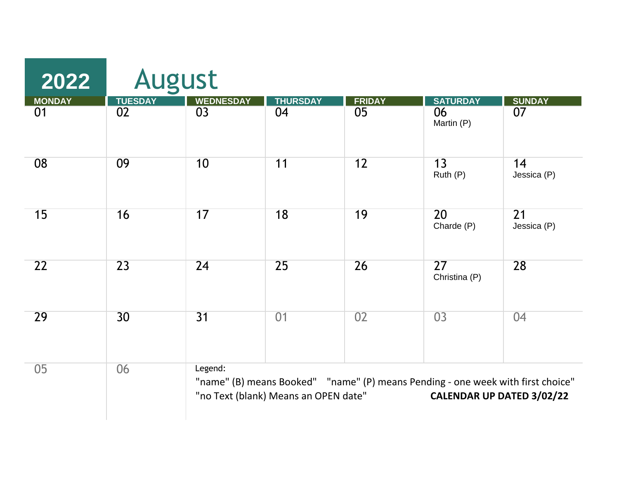| 2022                | <b>August</b>        |                        |                                      |                     |                                  |                                                                                                              |
|---------------------|----------------------|------------------------|--------------------------------------|---------------------|----------------------------------|--------------------------------------------------------------------------------------------------------------|
| <b>MONDAY</b><br>01 | <b>TUESDAY</b><br>02 | <b>WEDNESDAY</b><br>03 | <b>THURSDAY</b><br>04                | <b>FRIDAY</b><br>05 | <b>SATURDAY</b><br>06            | <b>SUNDAY</b><br>07                                                                                          |
|                     |                      |                        |                                      |                     | Martin (P)                       |                                                                                                              |
| 08                  | 09                   | 10                     | 11                                   | 12                  | 13<br>Ruth (P)                   | 14<br>Jessica (P)                                                                                            |
| 15                  | 16                   | 17                     | 18                                   | 19                  | 20<br>Charde (P)                 | 21<br>Jessica (P)                                                                                            |
| 22                  | $\overline{23}$      | 24                     | 25                                   | 26                  | $\overline{27}$<br>Christina (P) | 28                                                                                                           |
| 29                  | 30                   | 31                     | 01                                   | 02                  | 03                               | 04                                                                                                           |
| 05                  | 06                   | Legend:                | "no Text (blank) Means an OPEN date" |                     |                                  | "name" (B) means Booked" "name" (P) means Pending - one week with first choice"<br>CALENDAR UP DATED 3/02/22 |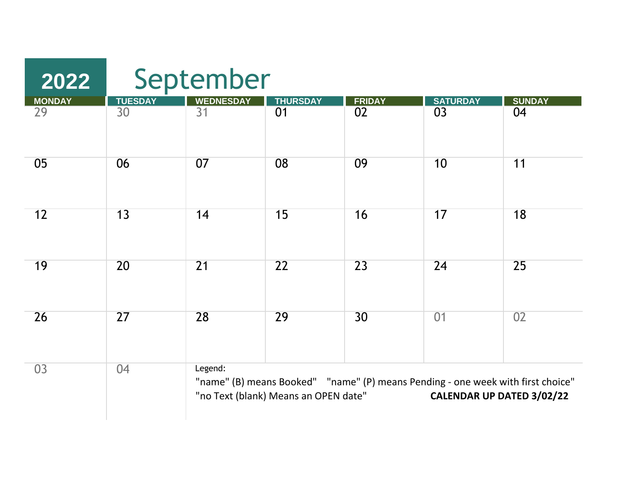| 2022         | September      |                  |                                      |                                                                                 |                           |               |  |  |
|--------------|----------------|------------------|--------------------------------------|---------------------------------------------------------------------------------|---------------------------|---------------|--|--|
|              | <b>TUESDAY</b> | <b>WEDNESDAY</b> | <b>THURSDAY</b>                      | <b>FRIDAY</b>                                                                   | <b>SATURDAY</b>           | <b>SUNDAY</b> |  |  |
| MONDAY<br>29 | 30             | $\overline{31}$  | 01                                   | 02                                                                              | 03                        | 04            |  |  |
| 05           | 06             | 07               | 08                                   | 09                                                                              | 10                        | 11            |  |  |
| 12           | 13             | 14               | 15                                   | 16                                                                              | 17                        | 18            |  |  |
| 19           | 20             | 21               | $\overline{22}$                      | 23                                                                              | 24                        | 25            |  |  |
| 26           | 27             | 28               | 29                                   | 30 <sup>°</sup>                                                                 | 01                        | 02            |  |  |
| 03           | 04             | Legend:          | "no Text (blank) Means an OPEN date" | "name" (B) means Booked" "name" (P) means Pending - one week with first choice" | CALENDAR UP DATED 3/02/22 |               |  |  |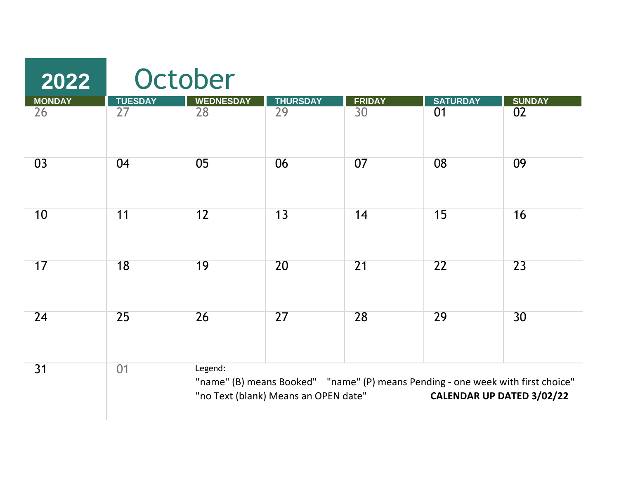| 2022          | October        |                  |                                      |                                                                                 |                 |                           |  |  |
|---------------|----------------|------------------|--------------------------------------|---------------------------------------------------------------------------------|-----------------|---------------------------|--|--|
| <b>MONDAY</b> | <b>TUESDAY</b> | <b>WEDNESDAY</b> | <b>THURSDAY</b>                      | <b>FRIDAY</b>                                                                   | <b>SATURDAY</b> | <b>SUNDAY</b>             |  |  |
| 26            | 27             | 28               | 29                                   | 30                                                                              | 01              | 02                        |  |  |
| 03            | 04             | 05               | 06                                   | 07                                                                              | 08              | 09                        |  |  |
| 10            | 11             | 12               | 13                                   | 14                                                                              | 15              | 16                        |  |  |
| 17            | 18             | 19               | 20                                   | 21                                                                              | $\overline{22}$ | 23                        |  |  |
| 24            | 25             | 26               | 27                                   | 28                                                                              | 29              | 30                        |  |  |
| 31            | 01             | Legend:          | "no Text (blank) Means an OPEN date" | "name" (B) means Booked" "name" (P) means Pending - one week with first choice" |                 | CALENDAR UP DATED 3/02/22 |  |  |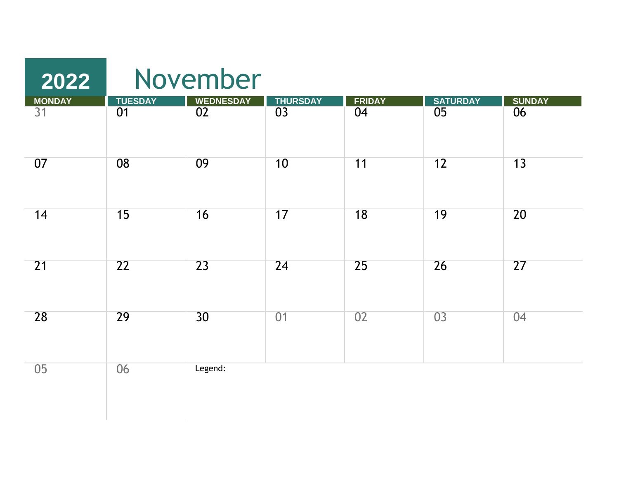| 2022         |                                   | November               |                 |                                  |                                    |                     |
|--------------|-----------------------------------|------------------------|-----------------|----------------------------------|------------------------------------|---------------------|
| MONDAY<br>31 | <b>TUESDAY</b><br>$\overline{01}$ | <b>WEDNESDAY</b><br>02 | THURSDAY        | <b>FRIDAY</b><br>$\overline{04}$ | <b>SATURDAY</b><br>$\overline{05}$ | <b>SUNDAY</b><br>06 |
| 07           | 08                                | 09                     | 10              | 11                               | 12                                 | 13                  |
| 14           | 15                                | 16                     | 17              | 18                               | 19                                 | 20                  |
| 21           | $\overline{22}$                   | $\overline{23}$        | $\overline{24}$ | $\overline{25}$                  | 26                                 | $\overline{27}$     |
| 28           | 29                                | 30                     | 01              | 02                               | $\overline{03}$                    | 04                  |
| 05           | 06                                | Legend:                |                 |                                  |                                    |                     |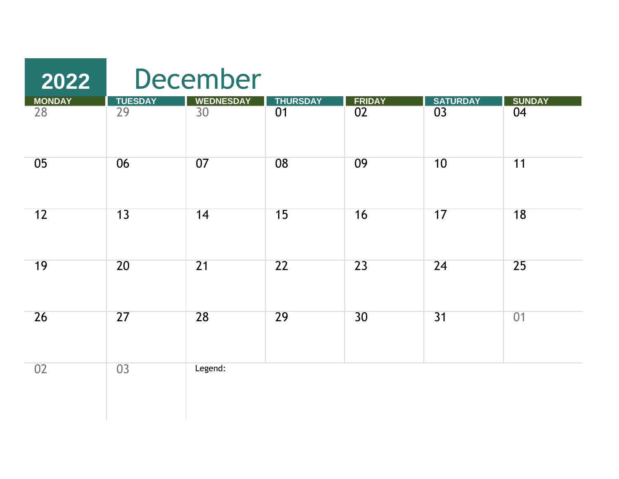## December

| <b>MONDAY</b>   | <b>TUESDAY</b>  | <b>WEDNESDAY</b> | <b>THURSDAY</b> |              | <b>SATURDAY</b> | SUNDAY          |
|-----------------|-----------------|------------------|-----------------|--------------|-----------------|-----------------|
| $\overline{28}$ | $\overline{29}$ | $\overline{30}$  | $\overline{01}$ | FRIDAY<br>02 | $\overline{03}$ | $\overline{04}$ |
| 05              | 06              | 07               | 08              | 09           | 10              | 11              |
| 12              | 13              | 14               | 15              | 16           | 17              | 18              |
| 19              | 20              | $\overline{21}$  | $\overline{22}$ | 23           | 24              | 25              |
| 26              | $\overline{27}$ | 28               | 29              | 30           | 31              | 01              |
| 02              | 03              | Legend:          |                 |              |                 |                 |